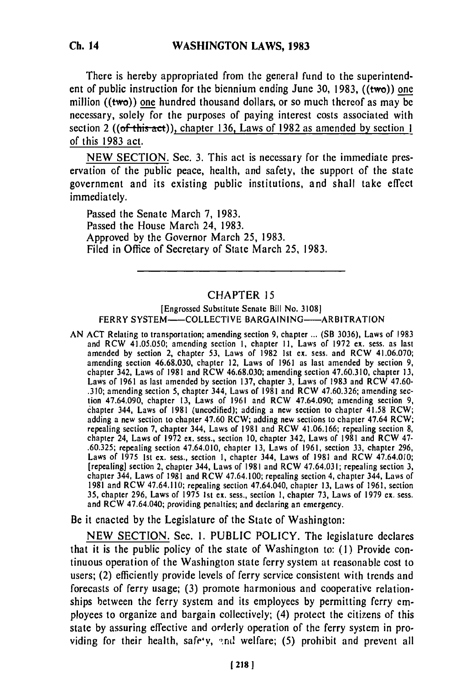There is hereby appropriated from the general fund to the superintendent of public instruction for the biennium ending June **30, 1983,** ((two)) one million  $((two))$  one hundred thousand dollars, or so much thereof as may be necessary, solely for the purposes of paying interest costs associated with section 2 ((of this act)), chapter **136,** Laws of **1982** as amended **by** section **1** of this **1983** act.

**NEW SECTION.** Sec. **3.** This act is necessary for the immediate preservation of the public peace, health, and safety, the support of the state government and its existing public institutions, and shall take effect immediately.

Passed the Senate March **7, 1983.** Passed the House March 24, **1983.** Approved **by** the Governor March **25, 1983.** Filed in Office of Secretary of State March **25, 1983.**

## CHAPTER **15**

## [Engrossed Substitute Senate Bill No. **3108] FERRY SYSTEM--COLLECTIVE BARGAINING----- ARBITRATION**

**AN ACT** Relating to transportation; amending section **9,** chapter **...** (SB **3036),** Laws of **1983** and RCW 41.05.050; amending section **I,** chapter **I1,** Laws of **1972 ex.** sess. as last amended **by** section 2, chapter **53,** Laws of **1982 Ist ex.** sess. and RCW 41.06.070; amending section **46.68.030,** chapter 12, Laws of **1961** as last amended **by** section **9,** chapter 342, Laws of **1981** and RCW **46.68.030;** amending section **47.60.310,** chapter **13,** Laws of **1961** as last amended **by** section **137,** chapter **3,** Laws of **1983** and RCW 47.60- **.310;** amending section **5,** chapter 344, Laws of **1981** and RCW **47.60.326;** amending section 47.64.090, chapter **13,** Laws of **1961** and RCW 47.64.090; amending section **9,** chapter 344, Laws of **1981** (uncodified); adding a new section to chapter 41.58 RCW; adding a new section to chapter 47.60 Regulars and  $\alpha$  and  $\alpha$  regulars to chapter 47.64 RCW; repealing section **7,** chapter 344, Laws of **1981** and RCW **41.06.166;** repealing section **8,** repealing section 7, chapter 344, Laws of 1981 and RCW 41.06.166; repealing section 8, **.60.325;** repealing section 47.64.010, chapter **13,** Laws of **1961,** section **33,** chapter **296,** Laws of **1975 Ist ex.** sess., section **I,** chapter 344, Laws of **1981** and RCW 47.64.010; [repealing] section 2, chapter 344, Laws of **1981** and RCW 47.64.031; repealing section **3,** chapter 344, Laws of **1981** and RCW 47.64.100; repealing section 4, chapter 344, Laws of chapter 344, Laws of 1981 and RCW 47.64.100; repealing section 4, chapter 344, Laws of **1981 and RCW 47.64.110; repealing section 47.64.040, chapter 13, Laws of 1961, section** 35, chapter 296, Laws of 1975 1st ex. sess., section 1, chapter 73, Laws of 1979 ex. sess. and RCW 47.64.040; providing penalties; and declaring an emergency.

Be it enacted **by** the Legislature of the State of Washington:

**NEW SECTION.** Sec. **1. PUBLIC** POLICY. The legislature declares that it is the public policy of the state of Washington to: **(1)** Provide continuous operation of the Washington state ferry system at reasonable cost to users; (2) efficiently provide levels of ferry service consistent with trends and forecasts of ferry usage; **(3)** promote harmonious and cooperative relationships between the ferry system and its employees **by** permitting ferry employees to organize and bargain collectively; (4) protect the citizens of this state **by** assuring effective and orderly operation of the ferry system in providing for their health, safe'y, and welfare; (5) prohibit and prevent all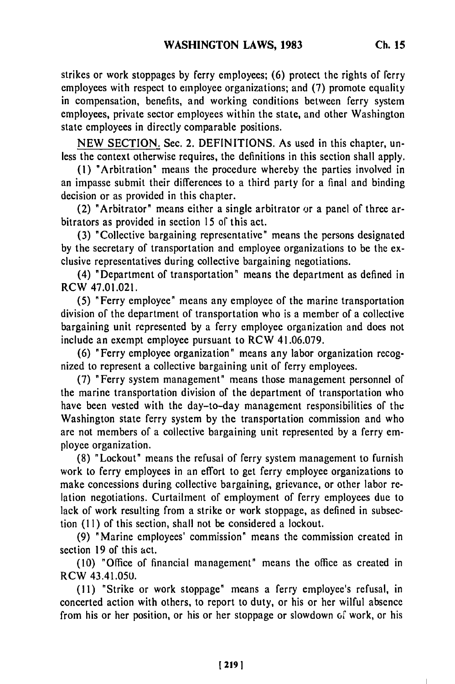strikes or work stoppages **by** ferry employees; **(6)** protect the rights of ferry employees with respect to employee organizations; and (7) promote equality in compensation, benefits, and working conditions between ferry system employees, private sector employees within the state, and other Washington state employees in directly comparable positions.

NEW SECTION. Sec. 2. DEFINITIONS. As used in this chapter, unless the context otherwise requires, the definitions in this section shall apply.

**(1)** "Arbitration" means the procedure whereby the parties involved in an impasse submit their differences to a third party for a final and binding decision or as provided in this chapter.

(2) "Arbitrator" means either a single arbitrator or a panel of three arbitrators as provided in section 15 of this act.

(3) "Collective bargaining representative" means the persons designated by the secretary of transportation and employee organizations to be the exclusive representatives during collective bargaining negotiations.

(4) "Department of transportation" means the department as defined in RCW 47.01.021.

(5) "Ferry employee" means any employee of the marine transportation division of the department of transportation who is a member of a collective bargaining unit represented by a ferry employee organization and does not include an exempt employee pursuant to RCW 41.06.079.

(6) "Ferry employee organization" means any labor organization recognized to represent a collective bargaining unit of ferry employees.

(7) "Ferry system management" means those management personnel of the marine transportation division of the department of transportation who have been vested with the day-to-day management responsibilities of the Washington state ferry system by the transportation commission and who are not members of a collective bargaining unit represented by a ferry employee organization.

(8) "Lockout" means the refusal of ferry system management to furnish work to ferry employees in an effort to get ferry employee organizations to make concessions during collective bargaining, grievance, or other labor relation negotiations. Curtailment of employment of ferry employees due to lack of work resulting from a strike or work stoppage, as defined in subsection (11) of this section, shall not be considered a lockout.

(9) "Marine employees' commission" means the commission created in section 19 of this act.

(10) "Office of financial management" means the office as created in RCW 43.41.05U.

**(11)** "Strike or work stoppage" means a ferry employee's refusal, in concerted action with others, to report to duty, or his or her wilful absence from his or her position, or his or her stoppage or slowdown of work, or his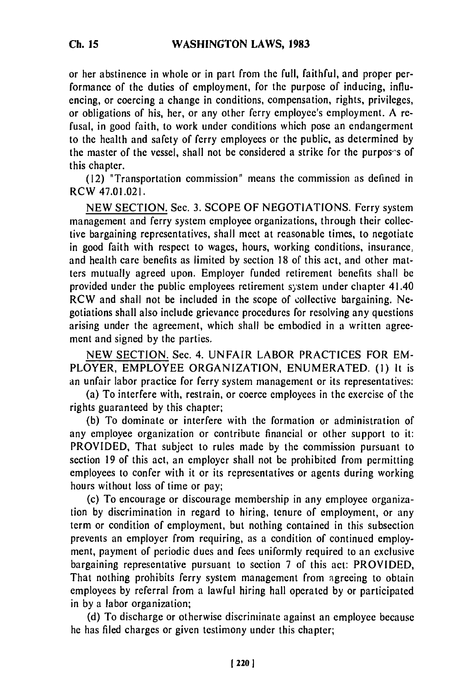or her abstinence in whole or in part from the full, faithful, and proper performance of the duties of employment, for the purpose of inducing, influencing, or coercing a change in conditions, compensation, rights, privileges, or obligations of his, her, or any other ferry employee's employment. A refusal, in good faith, to work under conditions which pose an endangerment to the health and safety of ferry employees or the public, as determined by the master of the vessel, shall not be considered a strike for the purpos's of this chapter.

(12) "Transportation commission" means the commission as defined in RCW 47.01.021.

NEW SECTION. Sec. 3. SCOPE OF NEGOTIATIONS. Ferry system management and ferry system employee organizations, through their collective bargaining representatives, shall meet at reasonable times, to negotiate in good faith with respect to wages, hours, working conditions, insurance, and health care benefits as limited by section 18 of this act, and other matters mutually agreed upon. Employer funded retirement benefits shall be provided under the public employees retirement system under chapter 41.40 RCW and shall not be included in the scope of collective bargaining. Negotiations shall also include grievance procedures for resolving any questions arising under the agreement, which shall be embodied in a written agreement and signed by the parties.

NEW SECTION. Sec. 4. UNFAIR LABOR PRACTICES FOR EM-PLOYER, EMPLOYEE ORGANIZATION, ENUMERATED. **(1)** It is an unfair labor practice for ferry system management or its representatives:

(a) To interfere with, restrain, or coerce employees in the exercise of the rights guaranteed by this chapter;

(b) To dominate or interfere with the formation or administration of any employee organization or contribute financial or other support to it: PROVIDED, That subject to rules made by the commission pursuant to section 19 of this act, an employer shall not be prohibited from permitting employees to confer with it or its representatives or agents during working hours without loss of time or pay;

(c) To encourage or discourage membership in any employee organization by discrimination in regard to hiring, tenure of employment, or any term or condition of employment, but nothing contained in this subsection prevents an employer from requiring, as a condition of continued employment, payment of periodic dues and fees uniformly required to an exclusive bargaining representative pursuant to section 7 of this act: PROVIDED, That nothing prohibits ferry system management from agreeing to obtain employees by referral from a lawful hiring hall operated by or participated in by a labor organization;

(d) To discharge or otherwise discriminate against an employee because he has filed charges or given testimony under this chapter;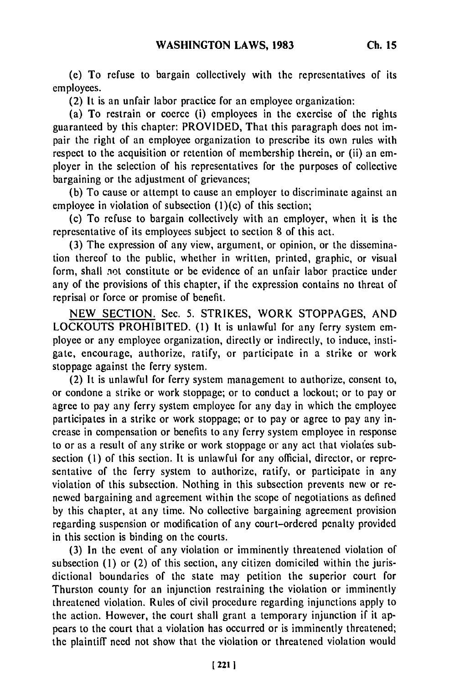(e) To refuse to bargain collectively with the representatives of its employees.

(2) It is an unfair labor practice for an employee organization:

(a) To restrain or coerce (i) employees in the exercise of the rights guaranteed by this chapter: PROVIDED, That this paragraph does not impair the right of an employee organization to prescribe its own rules with respect to the acquisition or retention of membership therein, or (ii) an employer in the selection of his representatives for the purposes of collective bargaining or the adjustment of grievances;

(b) To cause or attempt to cause an employer to discriminate against an employee in violation of subsection  $(1)(c)$  of this section;

(c) To refuse to bargain collectively with an employer, when it is the representative of its employees subject to section 8 of this act.

(3) The expression of any view, argument, or opinion, or the dissemination thereof to the public, whether in written, printed, graphic, or visual form, shall not constitute or be evidence of an unfair labor practice under any of the provisions of this chapter, if the expression contains no threat of reprisal or force or promise of benefit.

NEW SECTION. See. 5. STRIKES, WORK STOPPAGES, AND LOCKOUTS PROHIBITED. **(1)** It is unlawful for any ferry system employee or any employee organization, directly or indirectly, to induce, instigate, encourage, authorize, ratify, or participate in a strike or work stoppage against the ferry system.

(2) It is unlawful for ferry system management to authorize, consent to, or condone a strike or work stoppage; or to conduct a lockout; or to pay or agree to pay any ferry system employee for any day in which the employee participates in a strike or work stoppage; or to pay or agree to pay any increase in compensation or benefits to any ferry system employee in response to or as a result of any strike or work stoppage or any act that violafes subsection (1) of this section. It is unlawful for any official, director, or representative of the ferry system to authorize, ratify, or participate in any violation of this subsection. Nothing in this subsection prevents new or renewed bargaining and agreement within the scope of negotiations as defined by this chapter, at any time. No collective bargaining agreement provision regarding suspension or modification of any court-ordered penalty provided in this section is binding on the courts.

(3) In the event of any violation or imminently threatened violation of subsection **(1)** or (2) of this section, any citizen domiciled within the jurisdictional boundaries of the state may petition the superior court for Thurston county for an injunction restraining the violation or imminently threatened violation. Rules of civil procedure regarding injunctions apply to the action. However, the court shall grant a temporary injunction if it appears to the court that a violation has occurred or is imminently threatened; the plaintiff need not show that the violation or threatened violation would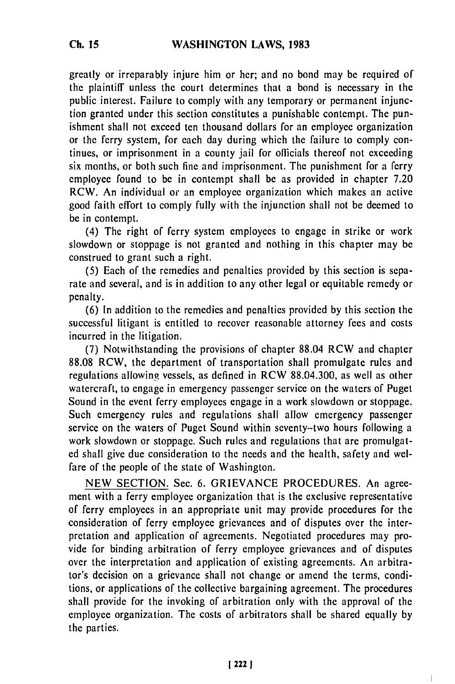greatly or irreparably injure him or her; and no bond may be required of the plaintiff unless the court determines that a bond is necessary in the public interest. Failure to comply with any temporary or permanent injunction granted under this section constitutes a punishable contempt. The punishment shall not exceed ten thousand dollars for an employee organization or the ferry system, for each day during which the failure to comply continues, or imprisonment in a county jail for officials thereof not exceeding six months, or both such fine and imprisonment. The punishment for a ferry employee found to be in contempt shall be as provided in chapter 7.20 RCW. An individual or an employee organization which makes an active good faith effort to comply fully with the injunction shall not be deemed to be in contempt.

(4) The right of ferry system employees to engage in strike or work slowdown or stoppage is not granted and nothing in this chapter may be construed to grant such a right.

(5) Each of the remedies and penalties provided by this section is separate and several, and is in addition to any other legal or equitable remedy or penalty.

(6) In addition to the remedies and penalties provided by this section the successful litigant is entitled to recover reasonable attorney fees and costs incurred in the litigation.

(7) Notwithstanding the provisions of chapter 88.04 RCW and chapter 88.08 RCW, the department of transportation shall promulgate rules and regulations allowing vessels, as defined in RCW 88.04.300, as well as other watercraft, to engage in emergency passenger service on the waters of Puget Sound in the event ferry employees engage in a work slowdown or stoppage. Such emergency rules and regulations shall allow emergency passenger service on the waters of Puget Sound within seventy-two hours following a work slowdown or stoppage. Such rules and regulations that are promulgated shall give due consideration to the needs and the health, safety and welfare of the people of the state of Washington.

NEW SECTION. Sec. 6. GRIEVANCE PROCEDURES. An agreement with a ferry employee organization that is the exclusive representative of ferry employees in an appropriate unit may provide procedures for the consideration of ferry employee grievances and of disputes over the interpretation and application of agreements. Negotiated procedures may provide for binding arbitration of ferry employee grievances and of disputes over the interpretation and application of existing agreements. An arbitrator's decision on a grievance shall not change or amend the terms, conditions, or applications of the collective bargaining agreement. The procedures shall provide for the invoking of arbitration only with the approval of the employee organization. The costs of arbitrators shall be shared equally by the parties.

 $\mathbf{I}$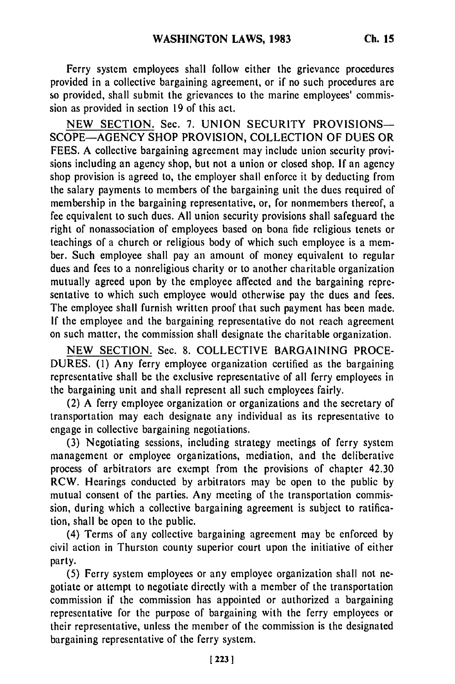Ferry system employees shall follow either the grievance procedures provided in a collective bargaining agreement, or if no such procedures are so provided, shall submit the grievances to the marine employees' commission as provided in section 19 of this act.

NEW SECTION. Sec. 7. UNION SECURITY PROVISIONS— SCOPE-AGENCY SHOP PROVISION, COLLECTION OF DUES OR FEES. A collective bargaining agreement may include union security provisions including an agency shop, but not a union or closed shop. If an agency shop provision is agreed to, the employer shall enforce it by deducting from the salary payments to members of the bargaining unit the dues required of membership in the bargaining representative, or, for nonmembers thereof, a fee equivalent to such dues. All union security provisions shall safeguard the right of nonassociation of employees based on bona fide religious tenets or teachings of a church or religious body of which such employee is a member. Such employee shall pay an amount of money equivalent to regular dues and fees to a nonreligious charity or to another charitable organization mutually agreed upon by the employee affected and the bargaining representative to which such employee would otherwise pay the dues and fees. The employee shall furnish written proof that such payment has been made. If the employee and the bargaining representative do not reach agreement on such matter, the commission shall designate the charitable organization.

NEW SECTION. Sec. 8. COLLECTIVE BARGAINING PROCE-DURES. (1) Any ferry employee organization certified as the bargaining representative shall be the exclusive representative of all ferry employees in the bargaining unit and shall represent all such employees fairly.

(2) A ferry employee organization or organizations and the secretary of transportation may each designate any individual as its representative to engage in collective bargaining negotiations.

(3) Negotiating sessions, including strategy meetings of ferry system management or employee organizations, mediation, and the deliberative process of arbitrators are exempt from the provisions of chapter 42.30 RCW. Hearings conducted by arbitrators may be open to the public by mutual consent of the parties. Any meeting of the transportation commission, during which a collective bargaining agreement is subject to ratification, shall be open to the public.

(4) Terms of any collective bargaining agreement may be enforced by civil action in Thurston county superior court upon the initiative of either party.

(5) Ferry system employees or any employee organization shall not negotiate or attempt to negotiate directly with a member of the transportation commission if the commission has appointed or authorized a bargaining representative for the purpose of bargaining with the ferry employees or their representative, unless the member of the commission is the designated bargaining representative of the ferry system.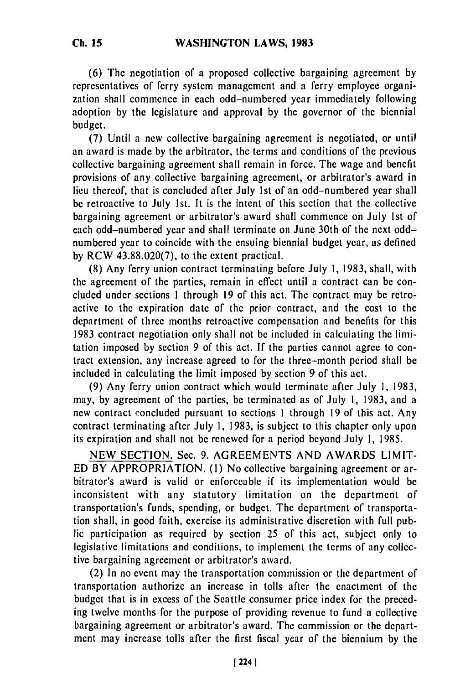**(6) The** negotiation **of** a proposed collective bargaining agreement by representatives of ferry system management and a ferry employee organization shall commence in each odd-numbered year immediately following adoption by the legislature and approval by the governor of the biennial budget.

(7) Until a new collective bargaining agreement is negotiated, or until an award is made by the arbitrator, the terms and conditions of the previous collective bargaining agreement shall remain in force. The wage and benefit provisions of any collective bargaining agreement, or arbitrator's award in lieu thereof, that is concluded after July 1st of an odd-numbered year shall be retroactive to July 1st. It is the intent of this section that the collective bargaining agreement or arbitrator's award shall commence on July Ist of each odd-numbered year and shall terminate on June 30th of the next oddnumbered year to coincide with the ensuing biennial budget year, as defined **by** RCW 43.88.020(7), to the extent practical.

(8) Any ferry union contract terminating before July **1,** 1983, shall, with the agreement of the parties, remain in effect until a contract can be concluded under sections 1 through 19 of this act. The contract may be retroactive to the expiration date of the prior contract, and the cost to the department of three months retroactive compensation and benefits for this 1983 contract negotiation only shall not be included in calculating the limitation imposed by section 9 of this act. If the parties cannot agree to contract extension, any increase agreed to for the three-month period shall be included in calculating the limit imposed by section 9 of this act.

(9) Any ferry union contract which would terminate after July 1, 1983, may, by agreement of the parties, be terminated as of July **1,** 1983, and a new contract concluded pursuant to sections I through 19 of this act. Any contract terminating after July 1, 1983, is subject to this chapter only upon its expiration and shall not be renewed for a period beyond July I, 1985.

NEW SECTION. Sec. 9. AGREEMENTS AND AWARDS LIMIT-ED BY APPROPRIATION. **(1)** No collective bargaining agreement or arbitrator's award is valid or enforceable if its implementation would be inconsistent with any statutory limitation on the department of transportation's funds, spending, or budget. The department of transportation shall, in good faith, exercise its administrative discretion with full public participation as required by section 25 of this act, subject only to legislative limitations and conditions, to implement the terms of any collective bargaining agreement or arbitrator's award.

(2) In no event may the transportation commission or the department of transportation authorize an increase in tolls after the enactment of the budget that is in excess of the Seattle consumer price index for the preceding twelve months for the purpose of providing revenue to fund a collective bargaining agreement or arbitrator's award. The commission or the department may increase tolls after the first fiscal year of the biennium by the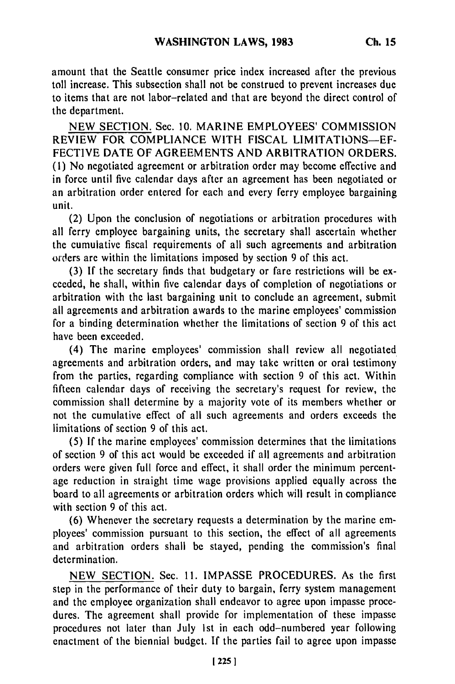amount that the Seattle consumer price index increased after the previous toll increase. This subsection shall not be construed to prevent increases due to items that are not labor-related and that are beyond the direct control of the department.

NEW SECTION. Sec. 10. MARINE EMPLOYEES' COMMISSION REVIEW FOR COMPLIANCE WITH FISCAL LIMITATIONS-EF-FECTIVE DATE OF AGREEMENTS AND ARBITRATION ORDERS. **(1)** No negotiated agreement or arbitration order may become effective and in force until five calendar days after an agreement has been negotiated or an arbitration order entered for each and every ferry employee bargaining unit.

(2) Upon the conclusion of negotiations or arbitration procedures with all ferry employee bargaining units, the secretary shall ascertain whether the cumulative fiscal requirements of all such agreements and arbitration orders are within the limitations imposed by section 9 of this act.

(3) If the secretary finds that budgetary or fare restrictions will be exceeded, he shall, within five calendar days of completion of negotiations or arbitration with the last bargaining unit to conclude an agreement, submit all agreements and arbitration awards to the marine employees' commission for a binding determination whether the limitations of section 9 of this act have been exceeded.

(4) The marine employees' commission shall review all negotiated agreements and arbitration orders, and may take written or oral testimony from the parties, regarding compliance with section 9 of this act. Within fifteen calendar days of receiving the secretary's request for review, the commission shall determine by a majority vote of its members whether or not the cumulative effect of all such agreements and orders exceeds the limitations of section 9 of this act.

(5) If the marine employees' commission determines that the limitations of section 9 of this act would be exceeded if all agreements and arbitration orders were given full force and effect, it shall order the minimum percentage reduction in straight time wage provisions applied equally across the board to all agreements or arbitration orders which will result in compliance with section 9 of this act.

(6) Whenever the secretary requests a determination by the marine employees' commission pursuant to this section, the effect of all agreements and arbitration orders shall be stayed, pending the commission's final determination.

NEW SECTION. Sec. 11. IMPASSE PROCEDURES. As the first step in the performance of their duty to bargain, ferry system management and the employee organization shall endeavor to agree upon impasse procedures. The agreement shall provide for implementation of these impasse procedures not later than July 1st in each odd-numbered year following enactment of the biennial budget. If the parties fail to agree upon impasse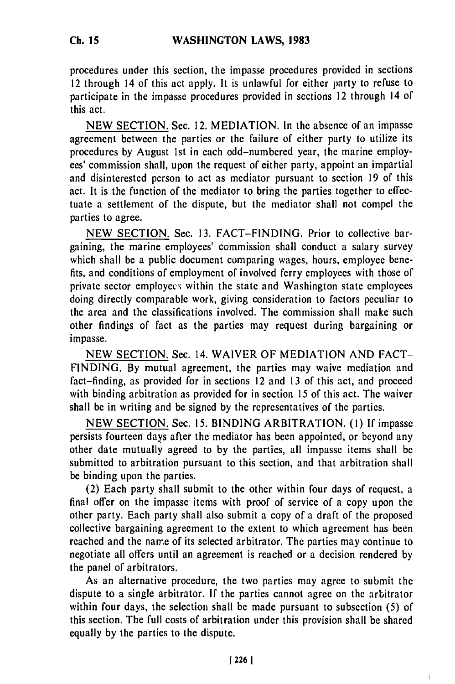procedures under this section, the impasse procedures provided in sections 12 through 14 of this act apply. It is unlawful for either party to refuse to participate in the impasse procedures provided in sections 12 through 14 of this act.

NEW SECTION. Sec. 12. MEDIATION. In the absence of an impasse agreement between the parties or the failure of either party to utilize its procedures by August 1st in each odd-numbered year, the marine employees' commission shall, upon the request of either party, appoint an impartial and disinterested person to act as mediator pursuant to section 19 of this act. It is the function of the mediator to bring the parties together to effectuate a settlement of the dispute, but the mediator shall not compel the parties to agree.

NEW SECTION. Sec. 13. FACT-FINDING. Prior to collective bargaining, the marine employees' commission shall conduct a salary survey which shall be a public document comparing wages, hours, employee benefits, and conditions of employment of involved ferry employees with those of private sector employecs within the state and Washington state employees doing directly comparable work, giving consideration to factors peculiar to the area and the classifications involved. The commission shall make such other findings of fact as the parties may request during bargaining or impasse.

NEW SECTION. Sec. 14. WAIVER OF MEDIATION AND FACT-FINDING. By mutual agreement, the parties may waive mediation and fact-finding, as provided for in sections 12 and 13 of this act, and proceed with binding arbitration as provided for in section **15** of this act. The waiver shall be in writing and be signed by the representatives of the parties.

NEW SECTION. Sec. 15. BINDING ARBITRATION. (1) If impasse persists fourteen days after the mediator has been appointed, or beyond any other date mutually agreed to by the parties, all impasse items shall be submitted to arbitration pursuant to this section, and that arbitration shall be binding upon the parties.

(2) Each party shall submit to the other within four days of request, a final offer on the impasse items with proof of service of a copy upon the other party. Each party shall also submit a copy of a draft of the proposed collective bargaining agreement to the extent to which agreement has been reached and the name of its selected arbitrator. The parties may continue to negotiate all offers until an agreement is reached or a decision rendered by the panel of arbitrators.

As an alternative procedure, the two parties may agree to submit the dispute to a single arbitrator. If the parties cannot agree on the arbitrator within four days, the selection shall be made pursuant to subsection (5) of this section. The full costs of arbitration under this provision shall be shared equally by the parties to the dispute.

 $\mathbf{I}$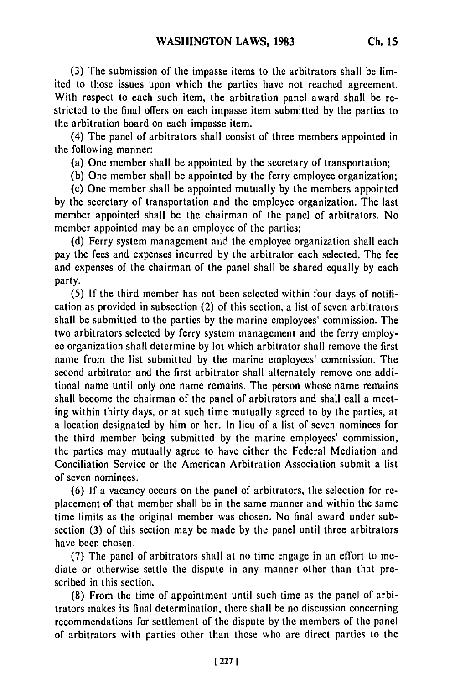**(3)** The submission of the impasse items to the arbitrators shall be limited to those issues upon which the parties have not reached agreement. With respect to each such item, the arbitration panel award shall be restricted to the final offers on each impasse item submitted **by** the parties to the arbitration board on each impasse item.

(4) The panel of arbitrators shall consist of three members appointed in the following manner:

(a) One member shall be appointed **by** the secretary of transportation;

**(b)** One member shall be appointed **by** the ferry employee organization;

(c) One member shall be appointed mutually **by** the members appointed **by** the secretary of transportation and the employee organization. The last member appointed shall **be** the chairman of the panel of arbitrators. No member appointed may be an employee of the parties;

**(d)** Ferry system management aid the employee organization shall each pay the fees and expenses incurred **by** the arbitrator each selected. The fee and expenses of the chairman of the panel shall be shared equally **by** each party.

**(5) If** the third member has not been selected within four days of notification as provided in subsection (2) of this section, a list of seven arbitrators shall be submitted to the parties **by** the marine employees' commission. The two arbitrators selected **by** ferry system management and the ferry employ**ee** organization shall determine **by** lot which arbitrator shall remove the first name from the list submitted **by** the marine employees' commission. The second arbitrator and the first arbitrator shall alternately remove one additional name until only one name remains. The person whose name remains shall become the chairman of the panel of arbitrators and shall call a meeting within thirty days, or at such time mutually agreed to **by** the parties, at a location designated **by** him or her. In lieu of a list of seven nominees for the third member being submitted **by** the marine employees' commission, the parties may mutually agree to have either the Federal Mediation and Conciliation Service or the American Arbitration Association submit a list of seven nominees.

**(6) If** a vacancy occurs on the panel of arbitrators, the selection for replacement of that member shall be in the same manner and within the same time limits as the original member was chosen. No final award under subsection **(3)** of this section may be made **by** the panel until three arbitrators have been chosen.

**(7)** The panel of arbitrators shall at no time engage in an effort to mediate or otherwise settle the dispute in any manner other than that prescribed in this section.

**(8)** From the time of appointment until such time as the panel of arbitrators makes its final determination, there shall be no discussion concerning recommendations for settlement of the dispute **by** the members of the panel of arbitrators with parties other than those who are direct parties to the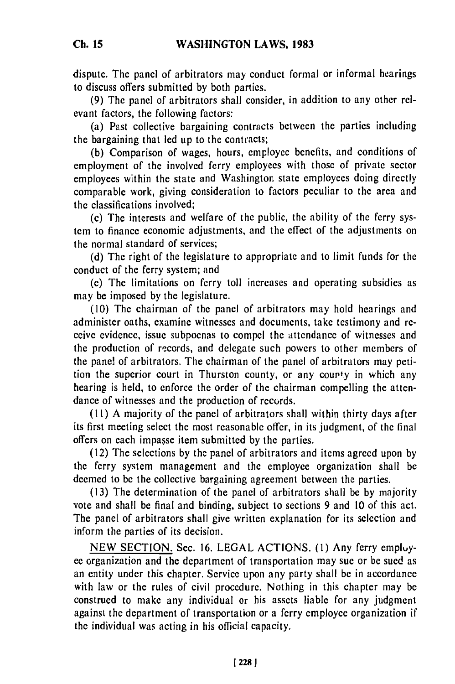dispute. The panel of arbitrators may conduct formal or informal hearings to discuss offers submitted by both parties.

(9) The panel of arbitrators shall consider, in addition to any other relevant factors, the following factors:

(a) Past collective bargaining contracts between the parties including the bargaining that led up to the contracts;

(b) Comparison of wages, hours, employee benefits, and conditions of employment of the involved ferry employees with those of private sector employees within the state and Washington state employees doing directly comparable work, giving consideration to factors peculiar to the area and the classifications involved;

(c) The interests and welfare of the public, the ability of the ferry system to finance economic adjustments, and the effect of the adjustments on the normal standard of services;

(d) The right of the legislature to appropriate and to limit funds for the conduct of the ferry system; and

(e) The limitations on ferry toll increases and operating subsidies as may be imposed by the legislature.

(10) The chairman of the panel of arbitrators may hold hearings and administer oaths, examine witnesses and documents, take testimony and receive evidence, issue subpoenas to compel the attendance of witnesses and the production of records, and delegate such powers to other members of the pane! of arbitrators. The chairman of the panel of arbitrators may petition the superior court in Thurston county, or any courty in which any hearing is held, to enforce the order of the chairman compelling the attendance of witnesses and the production of records.

(11) A majority of the panel of arbitrators shall within thirty days after its first meeting select the most reasonable offer, in its judgment, of the final offers on each impasse item submitted by the parties.

(12) The selections by the panel of arbitrators and items agreed upon by the ferry system management and the employee organization shall be deemed to be the collective bargaining agreement between the parties.

(13) The determination of the panel of arbitrators shall be by majority vote and shall be final and binding, subject to sections 9 and 10 of this act. The panel of arbitrators shall give written explanation for its selection and inform the parties of its decision.

NEW SECTION. Sec. 16. LEGAL ACTIONS. **(1)** Any ferry empluyee organization and the department of transportation may sue or be sued as an entity under this chapter. Service upon any party shall be in accordance with law or the rules of civil procedure. Nothing in this chapter may be construed to make any individual or his assets liable for any judgment against the department of transportation or a ferry employee organization if the individual was acting in his official capacity.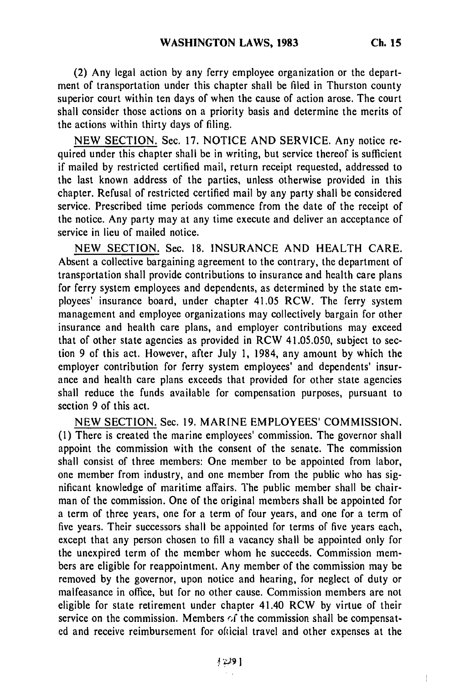(2) Any legal action **by** any ferry employee organization or the department of transportation under this chapter shall be filed in Thurston county superior court within ten days of when the cause of action arose. The court shall consider those actions on a priority basis and determine the merits of the actions within thirty days of filing.

NEW SECTION. Sec. 17. NOTICE AND SERVICE. Any notice required under this chapter shall be in writing, but service thereof is sufficient if mailed by restricted certified mail, return receipt requested, addressed to the last known address of the parties, unless otherwise provided in this chapter. Refusal of restricted certified mail by any party shall be considered service. Prescribed time periods commence from the date of the receipt of the notice. Any party may at any time execute and deliver an acceptance of service in lieu of mailed notice.

NEW SECTION. Sec. 18. INSURANCE AND HEALTH CARE. Absent a collective bargaining agreement to the contrary, the department of transportation shall provide contributions to insurance and health care plans for ferry system employees and dependents, as determined by the state employees' insurance board, under chapter 41.05 RCW. The ferry system management and employee organizations may collectively bargain for other insurance and health care plans, and employer contributions may exceed that of other state agencies as provided in RCW 41.05.050, subject to section 9 of this act. However, after July 1, 1984, any amount by which the employer contribution for ferry system employees' and dependents' insurance and health care plans exceeds that provided for other state agencies shall reduce the funds available for compensation purposes, pursuant to section 9 of this act.

NEW SECTION. Sec. 19. MARINE EMPLOYEES' COMMISSION. **(1)** There is created the marine employees' commission. The governor shall appoint the commission with the consent of the senate. The commission shall consist of three members: One member to be appointed from labor, one member from industry, and one member from the public who has significant knowledge of maritime affairs. The public member shall be chairman of the commission. One of the original members shall be appointed for a term of three years, one for a term of four years, and one for a term of five years. Their successors shall be appointed for terms of five years each, except that any person chosen to fill a vacancy shall be appointed only for the unexpired term of the member whom he succeeds. Commission members are eligible for reappointment. Any member of the commission may be removed by the governor, upon notice and hearing, for neglect of duty or malfeasance in office, but for no other cause. Commission members are not eligible for state retirement under chapter 41.40 RCW by virtue of their service on the commission. Members  $\alpha$  the commission shall be compensated and receive reimbursement for ofticial travel and other expenses at the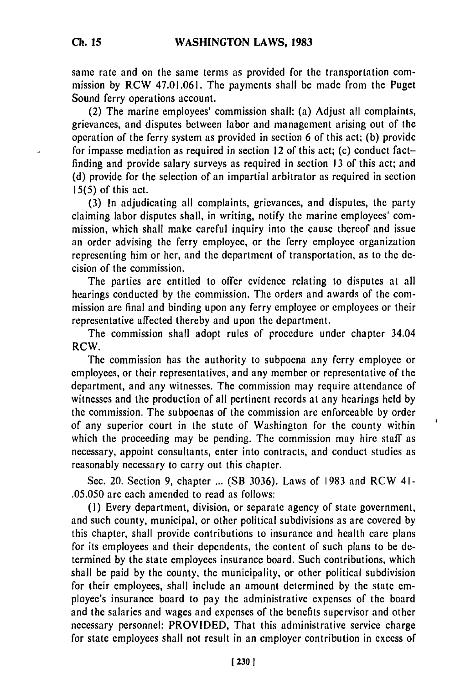same rate and on the same terms as provided for the transportation commission by RCW 47.01.061. The payments shall be made from the Puget Sound ferry operations account.

(2) The marine employees' commission shall: (a) Adjust all complaints, grievances, and disputes between labor and management arising out of the operation of the ferry system as provided in section 6 of this act; (b) provide for impasse mediation as required in section 12 of this act; (c) conduct factfinding and provide salary surveys as required in section **13** of this act; and (d) provide for the selection of an impartial arbitrator as required in section 15(5) of this act.

(3) In adjudicating all complaints, grievances, and disputes, the party claiming labor disputes shall, in writing, notify the marine employees' commission, which shall make careful inquiry into the cause thereof and issue an order advising the ferry employee, or the ferry employee organization representing him or her, and the department of transportation, as to the decision of the commission.

The parties are entitled to offer evidence relating to disputes at all hearings conducted by the commission. The orders and awards of the commission are final and binding upon any ferry employee or employees or their representative affected thereby and upon the department.

The commission shall adopt rules of procedure under chapter 34.04 RCW.

The commission has the authority to subpoena any ferry employee or employees, or their representatives, and any member or representative of the department, and any witnesses. The commission may require attendance of witnesses and the production of all pertinent records at any hearings held by the commission. The subpoenas of the commission are enforceable by order of any superior court in the state of Washington for the county within which the proceeding may be pending. The commission may hire staff as necessary, appoint consultants, enter into contracts, and conduct studies as reasonably necessary to carry out this chapter.

Sec. 20. Section 9, chapter ... (SB 3036). Laws of 1983 and RCW 41- .05.050 are each amended to read as follows:

**(1)** Every department, division, or separate agency of state government, and such county, municipal, or other political subdivisions as are covered by this chapter, shall provide contributions to insurance and health care plans for its employees and their dependents, the content of such plans to be determined by the state employees insurance board. Such contributions, which shall be paid by the county, the municipality, or other political subdivision for their employees, shall include an amount determined by the state employee's insurance board to pay the administrative expenses of the board and the salaries and wages and expenses of the benefits supervisor and other necessary personnel: PROVIDED, That this administrative service charge for state employees shall not result in an employer contribution in excess of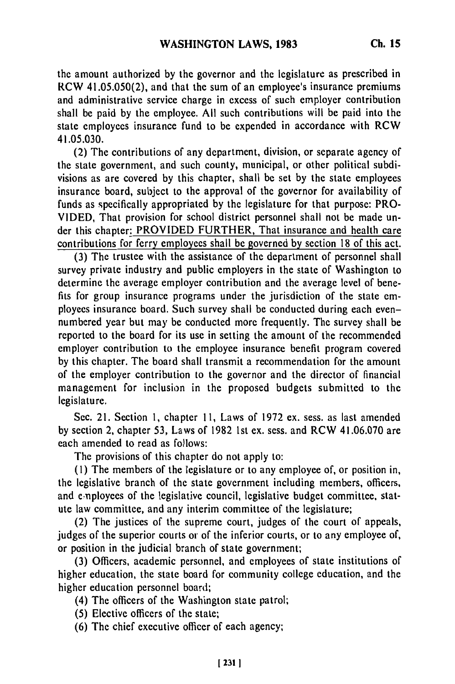the amount authorized **by** the governor and the legislature as prescribed in RCW 41.05.050(2), and that the sum of an employee's insurance premiums and administrative service charge in excess of such employer contribution shall be paid by the employee. All such contributions will be paid into the state employees insurance fund to be expended in accordance with RCW 41.05.030.

(2) The contributions of any department, division, or separate agency of the state government, and such county, municipal, or other political subdivisions as are covered by this chapter, shall be set by the state employees insurance board, subject to the approval of the governor for availability of funds as specifically appropriated by the legislature for that purpose: PRO-VIDED, That provision for school district personnel shall not be made under this chapter: PROVIDED FURTHER, That insurance and health care contributions for ferry employees shall be governed by section 18 of this act.

(3) The trustee with the assistance of the department of personnel shall survey private industry and public employers in the state of Washington to determine the average employer contribution and the average level of benefits for group insurance programs under the jurisdiction of the state employees insurance board. Such survey shall be conducted during each evennumbered year but may be conducted more frequently. The survey shall be reported to the board for its use in setting the amount of the recommended employer contribution to the employee insurance benefit program covered by this chapter. The board shall transmit a recommendation for the amount of the employer contribution to the governor and the director of financial management for inclusion in the proposed budgets submitted to the legislature.

Sec. 21. Section **1,** chapter 11, Laws of 1972 ex. sess. as last amended by section 2, chapter 53, Laws of 1982 1st ex. sess. and RCW 41.06.070 are each amended to read as folows:

The provisions of this chapter do not apply to:

**(1)** The members of the legislature or to any employee of, or position in, the legislative branch of the state government including members, officers, and employees of the legislative council, legislative budget committee, statute law committee, and any interim committee of the legislature;

(2) The justices of the supreme court, judges of the court of appeals, judges of the superior courts or of the inferior courts, or to any employee of, or position in the judicial branch of state government;

(3) Officers, academic personnel, and employees of state institutions of higher education, the state board for community college education, and the higher education personnel board;

(4) The officers of the Washington state patrol;

(5) Elective officers of the state;

**(6)** The chief executive officer of each agency;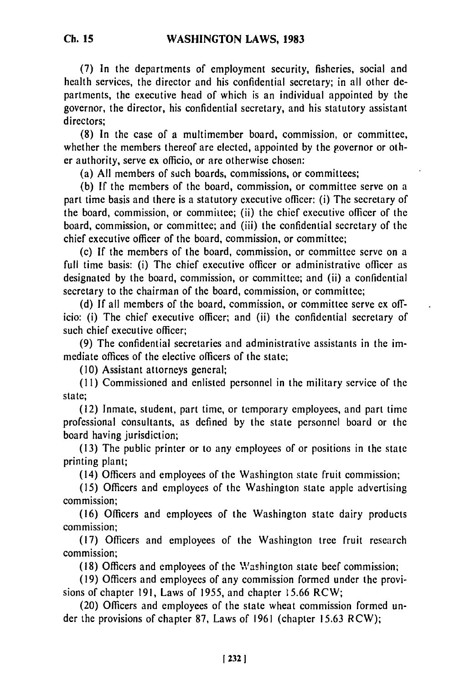**(7)** In the departments of employment security, fisheries, social and health services, the director and his confidential secretary; in all other departments, the executive head of which is an individual appointed by the governor, the director, his confidential secretary, and his statutory assistant directors;

(8) In the case of a multimember board, commission, or committee, whether the members thereof are elected, appointed by the governor or other authority, serve ex officio, or are otherwise chosen:

(a) All members of such boards, commissions, or committees;

(b) If the members of the board, commission, or committee serve on a part time basis and there is a statutory executive officer: (i) The secretary of the board, commission, or commiltee; (ii) the chief executive officer of the board, commission, or committee; and (iii) the confidential secretary of the chief executive officer of the board, commission, or committee;

(c) If the members of the board, commission, or committee serve on a full time basis: (i) The chief executive officer or administrative officer as designated by the board, commission, or committee; and (ii) a confidential secretary to the chairman of the board, commission, or committee;

(d) If all members of the board, commission, or committee serve ex officio: (i) The chief executive officer; and (ii) the confidential secretary of such chief executive officer;

(9) The confidential secretaries and administrative assistants in the immediate offices of the elective officers of the state;

(10) Assistant attorneys general;

**(1I)** Commissioned and enlisted personnel in the military service of the state;

(12) Inmate, student, part time, or temporary employees, and part time professional consultants, as defined by the state personnel board or the board having jurisdiction;

(13) The public printer or to any employees of or positions in the state printing plant;

(14) Officers and employees of the Washington state fruit commission;

(15) Officers and employees of the Washington state apple advertising commission;

(16) Officers and employees of the Washington state dairy products commission;

(17) Officers and employees of the Washington tree fruit research commission;

(18) Officers and employees of the Washington state beef commission;

(19) Officers and employees of any commission formed under the provisions of chapter 191, Laws of 1955, and chapter 15.66 RCW;

(20) Officers and employees of the state wheat commission formed under the provisions of chapter 87, Laws of 1961 (chapter 15.63 RCW);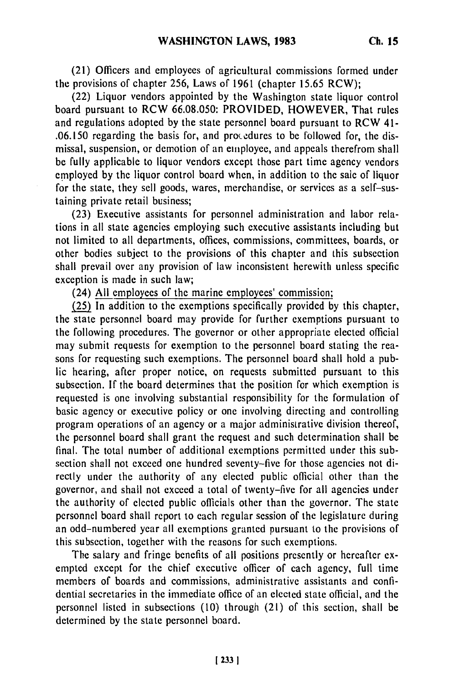(21) Officers and employees of agricultural commissions formed under the provisions of chapter 256, Laws of 1961 (chapter 15.65 RCW);

(22) Liquor vendors appointed by the Washington state liquor control board pursuant to RCW 66.08.050: PROVIDED, HOWEVER, That rules and regulations adopted by the state personnel board pursuant to RCW 41- .06.150 regarding the basis for, and procedures to be followed for, the dismissal, suspension, or demotion of an employee, and appeals therefrom shall be fully applicable to liquor vendors except those part time agency vendors employed by the liquor control board when, in addition to the sale of liquor for the state, they sell goods, wares, merchandise, or services as a self-sustaining private retail business;

(23) Executive assistants for personnel administration and labor relations in all state agencies employing such executive assistants including but not limited to all departments, offices, commissions, committees, boards, or other bodies subject to the provisions of this chapter and this subsection shall prevail over any provision of law inconsistent herewith unless specific exception is made in such law;

(24) All employees of the marine employees' commission;

(25) In addition to the exemptions specifically provided by this chapter, the state personnel board may provide for further exemptions pursuant to the following procedures. The governor or other appropriate elected official may submit requests for exemption to the personnel board stating the reasons for requesting such exemptions. The personnel board shall hold a public hearing, after proper notice, on requests submitted pursuant to this subsection. If the board determines that the position for which exemption is requested is one involving substantial responsibility for the formulation of basic agency or executive policy or one involving directing and controlling program operations of an agency or a major administrative division thereof, the personnel board shall grant the request and such determination shall be final. The total number of additional exemptions permitted under this subsection shall not exceed one hundred seventy-five for those agencies not directly under the authority of any elected public official other than the governor, and shall not exceed a total of twenty-five for all agencies under the authority of elected public officials other than the governor. The state personnel board shall report to each regular session of the legislature during an odd-numbered year all exemptions granted pursuant to the provisions of this subsection, together with the reasons for such exemptions.

The salary and fringe benefits of all positions presently or hereafter exempted except for the chief executive officer of each agency, full time members of boards and commissions, administrative assistants and confidential secretaries in the immediate office of an elected state official, and the personnel listed in subsections (10) through (21) of this section, shall be determined by the state personnel board.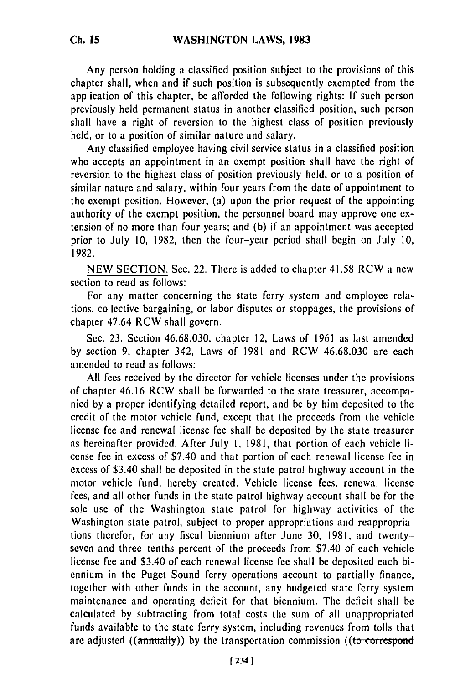Any person holding a classified position subject to the provisions of this chapter shall, when and if such position is subsequently exempted from the application of this chapter, be afforded the following rights: If such person previously held permanent status in another classified position, such person shall have a right of reversion to the highest class of position previously held, or to a position of similar nature and salary.

Any classified employee having civil service status in a classified position who accepts an appointment in an exempt position shall have the right of reversion to the highest class of position previously held, or to a position of similar nature and salary, within four years from the date of appointment to the exempt position. However, (a) upon the prior request of the appointing authority of the exempt position, the personnel board may approve one extension of no more than four years; and (b) if an appointment was accepted prior to July 10, 1982, then the four-year period shall begin on July 10, 1982.

NEW SECTION. Sec. 22. There is added to chapter 41.58 RCW a new section to read as follows:

For any matter concerning the state ferry system and employee relations, collective bargaining, or labor disputes or stoppages, the provisions of chapter 47.64 RCW shall govern.

Sec. 23. Section 46.68.030, chapter 12, Laws of 1961 as last amended by section 9, chapter 342, Laws of 1981 and RCW 46.68.030 are each amended to read as follows:

All fees received by the director for vehicle licenses under the provisions of chapter 46.16 RCW shall be forwarded to the state treasurer, accompanied by a proper identifying detailed report, and be by him deposited to the credit of the motor vehicle fund, except that the proceeds from the vehicle license fee and renewal license fee shall be deposited by the state treasurer as hereinafter provided. After July 1, 1981, that portion of each vehicle license fee in excess of \$7.40 and that portion of each renewal license fee in excess of \$3.40 shall be deposited in the state patrol highway account in the motor vehicle fund, hereby created. Vehicle license fees, renewal license fees, and all other funds in the state patrol highway account shall be for the sole use of the Washington state patrol for highway activities of the Washington state patrol, subject to proper appropriations and reappropriations therefor, for any fiscal biennium after June 30, 1981, and twentyseven and three-tenths percent of the proceeds from \$7.40 of each vehicle license fee and \$3.40 of each renewal license fee shall be deposited each biennium in the Puget Sound ferry operations account to partially finance, together with other funds in the account, any budgeted state ferry system maintenance and operating deficit for that biennium. The deficit shall be calculated by subtracting from total costs the sum of all unappropriated funds available to the state ferry system, including revenues from tolls that are adjusted  $((\text{annually}))$  by the transportation commission  $((\text{to correspond}$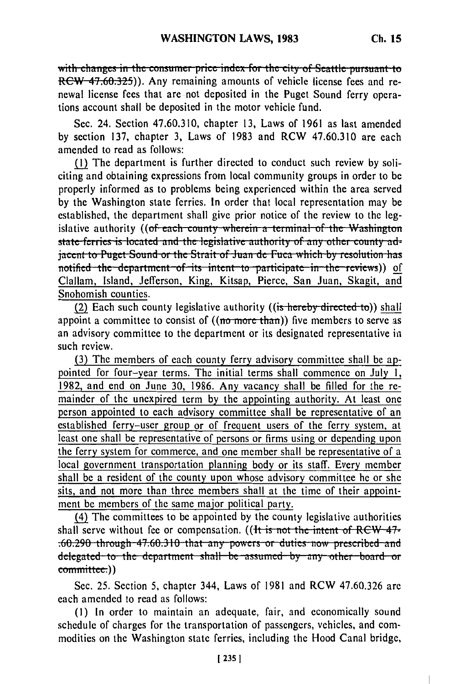with changes in the consumer price index for the city of Seattle pursuant to RCW 47.60.325)). Any remaining amounts of vehicle license fees and renewal license fees that are not deposited in the Puget Sound ferry operations account shall be deposited in the motor vehicle fund.

Sec. 24. Section 47.60.310, chapter 13, Laws of 1961 as last amended by section 137, chapter 3, Laws of 1983 and RCW 47.60.310 are each amended to read as follows:

(1) The department is further directed to conduct such review by soliciting and obtaining expressions from local community groups in order to be properly informed as to problems being experienced within the area served by the Washington state ferries. In order that local representation may be established, the department shall give prior notice of the review to the legislative authority ((of each county wherein a terminal of the Washington state ferries is located and the legislative authority of any other county ad**jacent to Puget Sound or the Strait of Juan de Fuca which by resolution has** notified the department of its intent to participate in the reviews)) of Clallam, Island, Jefferson, King, Kitsap, Pierce, San Juan, Skagit, and Snohomish counties.

**(2)** Each such county legislative authority ((is hereby directed to)) shall appoint a committee to consist of ((no more than)) five members to serve as an advisory committee to the department or its designated representative in such review.

(3) The members of each county ferry advisory committee shall be appointed for four-year terms. The initial terms shall commence on July 1, 1982, and end on June 30, 1986. Any vacancy shall be filled for the remainder of the unexpired term by the appointing authority. At least one person appointed to each advisory committee shall be representative of an established ferry-user group or of frequent users of the ferry system, at least one shall be representative of persons or firms using or depending upon the ferry system for commerce, and one member shall be representative of a local government transportation planning body or its staff. Every member shall be a resident of the county upon whose advisory committee he or she sits, and not more than three members shall at the time of their appointment be members of the same major political party.

(4) The committees to be appointed by the county legislative authorities shall serve without fee or compensation. ((It is not the intent of RCW 47-**.60.290 through 47.60.310 that any powers or duties now prescribed and** delegated to the department shall be assumed by any other board or committee.))

Sec. 25. Section 5, chapter 344, Laws of 1981 and RCW 47.60.326 are each amended to read as follows:

**(1)** In order to maintain an adequate, fair, and economically sound schedule of charges for the transportation of passengers, vehicles, and commodities on the Washington state ferries, including the Hood Canal bridge,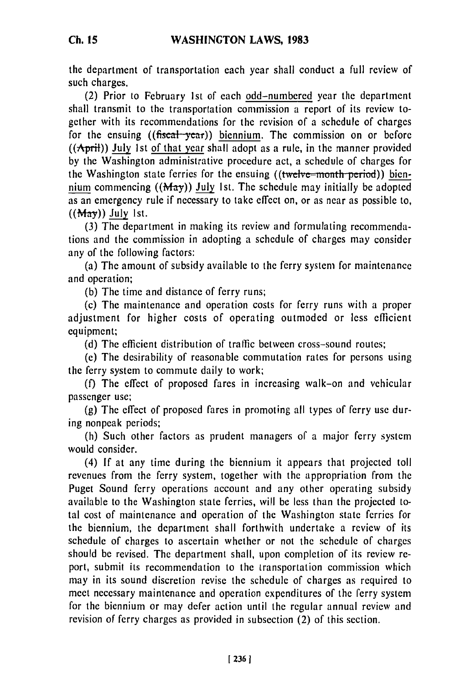**Ch. 15**

the department of transportation each year shall conduct a full review of such charges.

(2) Prior to February 1st of each odd-numbered year the department shall transmit to the transportation commission a report of its review together with its recommendations for the revision of a schedule of charges for the ensuing ((fiscal-year)) biennium. The commission on or before  $((A<sub>print</sub>))$  July 1st of that year shall adopt as a rule, in the manner provided by the Washington administrative procedure act, a schedule of charges for the Washington state ferries for the ensuing ((twelve-month period)) biennium commencing  $((\text{May}))$  July 1st. The schedule may initially be adopted as an emergency rule if necessary to take effect on, or as near as possible to, **((May)) July** 1st.

(3) The department in making its review and formulating recommendations and the commission in adopting a schedule of charges may consider any of the following factors:

(a) The amount of subsidy available to the ferry system for maintenance and operation;

(b) The time and distance of ferry runs;

(c) The maintenance and operation costs for ferry runs with a proper adjustment for higher costs of operating outmoded or less efficient equipment;

(d) The efficient distribution of traffic between cross-sound routes;

(e) The desirability of reasonable commutation rates for persons using the ferry system to commute daily to work;

(f) The effect of proposed fares in increasing walk-on and vehicular passenger use;

(g) The effect of proposed fares in promoting all types of ferry use during nonpeak periods;

(h) Such other factors as prudent managers of a major ferry system would consider.

(4) If at any time during the biennium it appears that projected toll revenues from the ferry system, together with the appropriation from the Puget Sound ferry operations account and any other operating subsidy available to the Washington state ferries, will be less than the projected total cost of maintenance and operation of the Washington state ferries for the biennium, the department shall forthwith undertake a review of its schedule of charges to ascertain whether or not the schedule of charges should be revised. The department shall, upon completion of its review report, submit its recommendation to the transportation commission which may in its sound discretion revise the schedule of charges as required to meet necessary maintenance and operation expenditures of the ferry system for the biennium or may defer action until the regular annual review and revision of ferry charges as provided in subsection (2) of this section.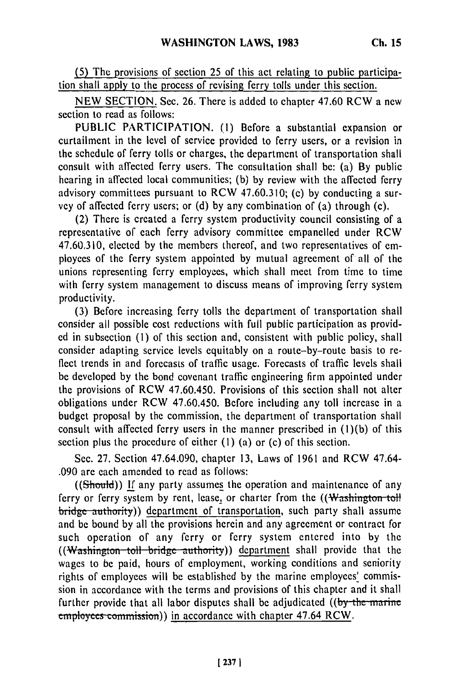**(5)** The provisions of section 25 of this act relating to public participation shall apply to the process of revising ferry tolls under this section.

NEW SECTION. See. 26. There is added to chapter 47.60 RCW a new section to read as follows:

PUBLIC PARTICIPATION. (1) Before a substantial expansion or curtailment in the level of service provided to ferry users, or a revision in the schedule of ferry tolls or charges, the department of transportation shall consult with affected ferry users. The consultation shall be: (a) By public hearing in affected local communities; (b) by review with the affected ferry advisory committees pursuant to RCW 47.60.310; (c) by conducting a survey of affected ferry users; or (d) by any combination of (a) through (c).

(2) There is created a ferry system productivity council consisting of a representative of each ferry advisory committee empanelled under RCW 47.60.310, elected by the members thereof, and two representatives of employees of the ferry system appointed by mutual agreement of all of the unions representing ferry employees, which shall meet from time to time with ferry system management to discuss means of improving ferry system productivity.

(3) Before increasing ferry tolls the department of transportation shall consider all possible cost reductions with full public participation as provided in subsection **(1)** of this section and, consistent with public policy, shall consider adapting service levels equitably on a route-by-route basis to reflect trends in and forecasts of traffic usage. Forecasts of traffic levels shall be developed by the bond covenant traffic engineering firm appointed under the provisions of RCW 47.60.450. Provisions of this section shall not alter obligations under RCW 47.60.450. Before including any toll increase in a budget proposal by the commission, the department of transportation shall consult with affected ferry users in the manner prescribed in (l)(b) of this section plus the procedure of either **(I)** (a) or (c) of this section.

Sec. 27. Section 47.64.090, chapter 13, Laws of 1961 and RCW 47.64- .090 are each amended to read as follows:

((Should)) If any party assumes the operation and maintenance of any ferry or ferry system by rent, lease, or charter from the ((Washington-toll bridge authority)) department of transportation, such party shall assume and be bound by all the provisions herein and any agreement or contract for such operation of any ferry or ferry system entered into by the ((Washington toll bridge authority)) department shall provide that the wages to be paid, hours of employment, working conditions and seniority rights of employees will be established by the marine employees' commission in accordance with the terms and provisions of this chapter and it shall further provide that all labor disputes shall be adjudicated  $($ (by the marine **employees commission))** in accordance with chapter 47.64 RCW.